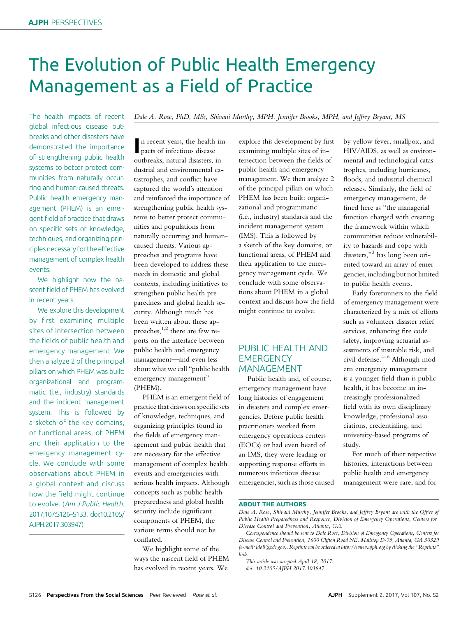# The Evolution of Public Health Emergency Management as a Field of Practice

The health impacts of recent global infectious disease outbreaks and other disasters have demonstrated the importance of strengthening public health systems to better protect communities from naturally occurring and human-caused threats. Public health emergency management (PHEM) is an emergent field of practice that draws on specific sets of knowledge, techniques, and organizing principles necessary for the effective management of complex health events.

We highlight how the nascent field of PHEM has evolved in recent years.

We explore this development by first examining multiple sites of intersection between the fields of public health and emergency management. We then analyze 2 of the principal pillars on which PHEM was built: organizational and programmatic (i.e., industry) standards and the incident management system. This is followed by a sketch of the key domains, or functional areas, of PHEM and their application to the emergency management cycle. We conclude with some observations about PHEM in a global context and discuss how the field might continue to evolve. (Am J Public Health. 2017;107:S126–S133. doi:10.2105/ AJPH.2017.303947)

Dale A. Rose, PhD, MSc, Shivani Murthy, MPH, Jennifer Brooks, MPH, and Jeffrey Bryant, MS

n recent years, the health<br>pacts of infectious disease n recent years, the health imoutbreaks, natural disasters, industrial and environmental catastrophes, and conflict have captured the world's attention and reinforced the importance of strengthening public health systems to better protect communities and populations from naturally occurring and humancaused threats. Various approaches and programs have been developed to address these needs in domestic and global contexts, including initiatives to strengthen public health preparedness and global health security. Although much has been written about these approaches,1,2 there are few reports on the interface between public health and emergency management—and even less about what we call "public health emergency management" (PHEM).

PHEM is an emergent field of practice that draws on specific sets of knowledge, techniques, and organizing principles found in the fields of emergency management and public health that are necessary for the effective management of complex health events and emergencies with serious health impacts. Although concepts such as public health preparedness and global health security include significant components of PHEM, the various terms should not be conflated.

We highlight some of the ways the nascent field of PHEM has evolved in recent years. We

explore this development by first examining multiple sites of intersection between the fields of public health and emergency management. We then analyze 2 of the principal pillars on which PHEM has been built: organizational and programmatic (i.e., industry) standards and the incident management system (IMS). This is followed by a sketch of the key domains, or functional areas, of PHEM and their application to the emergency management cycle. We conclude with some observations about PHEM in a global context and discuss how the field might continue to evolve.

## PUBLIC HEALTH AND **EMERGENCY** MANAGEMENT

Public health and, of course, emergency management have long histories of engagement in disasters and complex emergencies. Before public health practitioners worked from emergency operations centers (EOCs) or had even heard of an IMS, they were leading or supporting response efforts in numerous infectious disease emergencies, such as those caused by yellow fever, smallpox, and HIV/AIDS, as well as environmental and technological catastrophes, including hurricanes, floods, and industrial chemical releases. Similarly, the field of emergency management, defined here as "the managerial function charged with creating the framework within which communities reduce vulnerability to hazards and cope with disasters,"<sup>3</sup> has long been oriented toward an array of emergencies, including but not limited to public health events.

Early forerunners to the field of emergency management were characterized by a mix of efforts such as volunteer disaster relief services, enhancing fire code safety, improving actuarial assessments of insurable risk, and civil defense.<sup>4–6</sup> Although modern emergency management is a younger field than is public health, it has become an increasingly professionalized field with its own disciplinary knowledge, professional associations, credentialing, and university-based programs of study.

For much of their respective histories, interactions between public health and emergency management were rare, and for

#### ABOUT THE AUTHORS

This article was accepted April 18, 2017. doi: 10.2105/AJPH.2017.303947

Dale A. Rose, Shivani Murthy, Jennifer Brooks, and Jeffrey Bryant are with the Office of Public Health Preparedness and Response, Division of Emergency Operations, Centers for Disease Control and Prevention, Atlanta, GA.

Correspondence should be sent to Dale Rose, Division of Emergency Operations, Centers for Disease Control and Prevention, 1600 Clifton Road NE, Mailstop D-75, Atlanta, GA 30329 (e-mail: [ido8@cdc.gov\)](mailto:ido8@cdc.gov). Reprints can be ordered at<http://www.ajph.org> by clicking the "Reprints" link.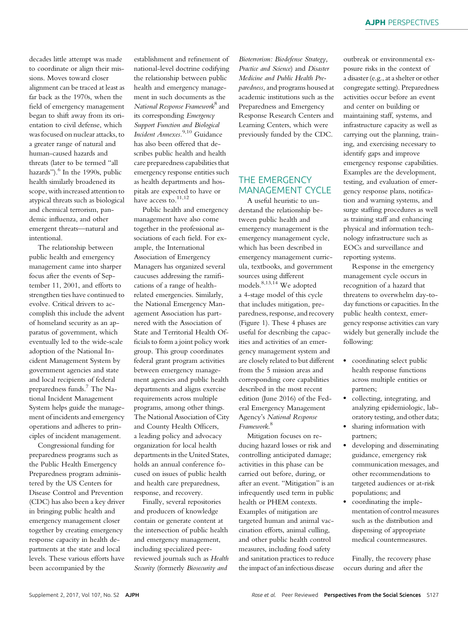decades little attempt was made to coordinate or align their missions. Moves toward closer alignment can be traced at least as far back as the 1970s, when the field of emergency management began to shift away from its orientation to civil defense, which was focused on nuclear attacks, to a greater range of natural and human-caused hazards and threats (later to be termed "all hazards"). $^{6}$  In the 1990s, public health similarly broadened its scope, with increased attention to atypical threats such as biological and chemical terrorism, pandemic influenza, and other emergent threats—natural and intentional.

The relationship between public health and emergency management came into sharper focus after the events of September 11, 2001, and efforts to strengthen ties have continued to evolve. Critical drivers to accomplish this include the advent of homeland security as an apparatus of government, which eventually led to the wide-scale adoption of the National Incident Management System by government agencies and state and local recipients of federal preparedness funds.7 The National Incident Management System helps guide the management of incidents and emergency operations and adheres to principles of incident management.

Congressional funding for preparedness programs such as the Public Health Emergency Preparedness program administered by the US Centers for Disease Control and Prevention (CDC) has also been a key driver in bringing public health and emergency management closer together by creating emergency response capacity in health departments at the state and local levels. These various efforts have been accompanied by the

establishment and refinement of national-level doctrine codifying the relationship between public health and emergency management in such documents as the National Response Framework<sup>8</sup> and its corresponding Emergency Support Function and Biological Incident Annexes.<sup>9,10</sup> Guidance has also been offered that describes public health and health care preparedness capabilities that emergency response entities such as health departments and hospitals are expected to have or have access to. $11,12$ 

Public health and emergency management have also come together in the professional associations of each field. For example, the International Association of Emergency Managers has organized several caucuses addressing the ramifications of a range of healthrelated emergencies. Similarly, the National Emergency Management Association has partnered with the Association of State and Territorial Health Officials to form a joint policy work group. This group coordinates federal grant program activities between emergency management agencies and public health departments and aligns exercise requirements across multiple programs, among other things. The National Association of City and County Health Officers, a leading policy and advocacy organization for local health departments in the United States, holds an annual conference focused on issues of public health and health care preparedness, response, and recovery.

Finally, several repositories and producers of knowledge contain or generate content at the intersection of public health and emergency management, including specialized peerreviewed journals such as Health Security (formerly Biosecurity and

Bioterrorism: Biodefense Strategy, Practice and Science) and Disaster Medicine and Public Health Preparedness, and programs housed at academic institutions such as the Preparedness and Emergency Response Research Centers and Learning Centers, which were previously funded by the CDC.

# THE EMERGENCY MANAGEMENT CYCLE

A useful heuristic to understand the relationship between public health and emergency management is the emergency management cycle, which has been described in emergency management curricula, textbooks, and government sources using different models.<sup>8,13,14</sup> We adopted a 4-stage model of this cycle that includes mitigation, preparedness, response, and recovery (Figure 1). These 4 phases are useful for describing the capacities and activities of an emergency management system and are closely related to but different from the 5 mission areas and corresponding core capabilities described in the most recent edition (June 2016) of the Federal Emergency Management Agency's National Response Framework. 8

Mitigation focuses on reducing hazard losses or risk and controlling anticipated damage; activities in this phase can be carried out before, during, or after an event. "Mitigation" is an infrequently used term in public health or PHEM contexts. Examples of mitigation are targeted human and animal vaccination efforts, animal culling, and other public health control measures, including food safety and sanitation practices to reduce the impact of an infectious disease

outbreak or environmental exposure risks in the context of a disaster (e.g., at a shelter or other congregate setting). Preparedness activities occur before an event and center on building or maintaining staff, systems, and infrastructure capacity as well as carrying out the planning, training, and exercising necessary to identify gaps and improve emergency response capabilities. Examples are the development, testing, and evaluation of emergency response plans, notification and warning systems, and surge staffing procedures as well as training staff and enhancing physical and information technology infrastructure such as EOCs and surveillance and reporting systems.

Response in the emergency management cycle occurs in recognition of a hazard that threatens to overwhelm day-today functions or capacities. In the public health context, emergency response activities can vary widely but generally include the following:

- coordinating select public health response functions across multiple entities or partners;
- collecting, integrating, and analyzing epidemiologic, laboratory testing, and other data;
- sharing information with partners;
- developing and disseminating guidance, emergency risk communication messages, and other recommendations to targeted audiences or at-risk populations; and
- coordinating the implementation of control measures such as the distribution and dispensing of appropriate medical countermeasures.

Finally, the recovery phase occurs during and after the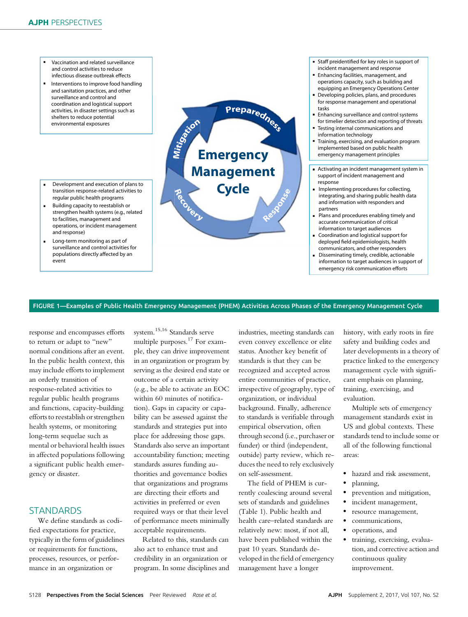- Vaccination and related surveillance and control activities to reduce infectious disease outbreak effects
- Interventions to improve food handling and sanitation practices, and other surveillance and control and coordination and logistical support activities, in disaster settings such as shelters to reduce potential environmental exposures
- Development and execution of plans to transition response-related activities to regular public health programs
- Building capacity to reestablish or strengthen health systems (e.g., related to facilities, management and operations, or incident management and response)
- Long-term monitoring as part of surveillance and control activities for populations directly affected by an event



- Staff preidentified for key roles in support of incident management and response
- Enhancing facilities, management, and operations capacity, such as building and equipping an Emergency Operations Center
- Developing policies, plans, and procedures for response management and operational tasks
- Enhancing surveillance and control systems for timelier detection and reporting of threats
- Testing internal communications and information technology
- Training, exercising, and evaluation program implemented based on public health emergency management principles
- Activating an incident management system in support of incident management and response
- Implementing procedures for collecting, integrating, and sharing public health data and information with responders and partners
- Plans and procedures enabling timely and accurate communication of critical information to target audiences
- Coordination and logistical support for deployed field epidemiologists, health communicators, and other responders
- Disseminating timely, credible, actionable information to target audiences in support of emergency risk communication efforts

#### FIGURE 1—Examples of Public Health Emergency Management (PHEM) Activities Across Phases of the Emergency Management Cycle

response and encompasses efforts to return or adapt to "new" normal conditions after an event. In the public health context, this may include efforts to implement an orderly transition of response-related activities to regular public health programs and functions, capacity-building efforts to reestablish or strengthen health systems, or monitoring long-term sequelae such as mental or behavioral health issues in affected populations following a significant public health emergency or disaster.

## **STANDARDS**

We define standards as codified expectations for practice, typically in the form of guidelines or requirements for functions, processes, resources, or performance in an organization or

system.15,16 Standards serve multiple purposes.<sup>17</sup> For example, they can drive improvement in an organization or program by serving as the desired end state or outcome of a certain activity (e.g., be able to activate an EOC within 60 minutes of notification). Gaps in capacity or capability can be assessed against the standards and strategies put into place for addressing those gaps. Standards also serve an important accountability function; meeting standards assures funding authorities and governance bodies that organizations and programs are directing their efforts and activities in preferred or even required ways or that their level of performance meets minimally acceptable requirements.

Related to this, standards can also act to enhance trust and credibility in an organization or program. In some disciplines and

industries, meeting standards can even convey excellence or elite status. Another key benefit of standards is that they can be recognized and accepted across entire communities of practice, irrespective of geography, type of organization, or individual background. Finally, adherence to standards is verifiable through empirical observation, often through second (i.e., purchaser or funder) or third (independent, outside) party review, which reduces the need to rely exclusively on self-assessment.

The field of PHEM is currently coalescing around several sets of standards and guidelines (Table 1). Public health and health care–related standards are relatively new: most, if not all, have been published within the past 10 years. Standards developed in the field of emergency management have a longer

history, with early roots in fire safety and building codes and later developments in a theory of practice linked to the emergency management cycle with significant emphasis on planning, training, exercising, and evaluation.

Multiple sets of emergency management standards exist in US and global contexts. These standards tend to include some or all of the following functional areas:

- hazard and risk assessment,
- planning,
- prevention and mitigation,
- incident management,
- resource management,
- communications,
- operations, and
- training, exercising, evaluation, and corrective action and continuous quality improvement.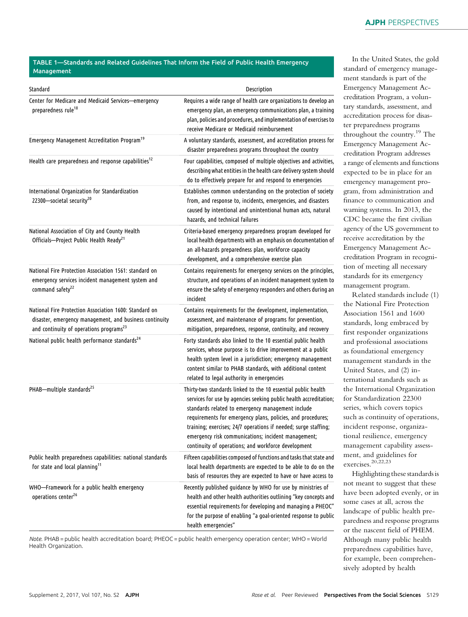## TABLE 1—Standards and Related Guidelines That Inform the Field of Public Health Emergency Management

| Standard                                                                                                                                                                 | Description                                                                                                                                                                                                                                                                                                                                                                                                                             |
|--------------------------------------------------------------------------------------------------------------------------------------------------------------------------|-----------------------------------------------------------------------------------------------------------------------------------------------------------------------------------------------------------------------------------------------------------------------------------------------------------------------------------------------------------------------------------------------------------------------------------------|
| Center for Medicare and Medicaid Services—emergency<br>preparedness rule <sup>18</sup>                                                                                   | Requires a wide range of health care organizations to develop an<br>emergency plan, an emergency communications plan, a training<br>plan, policies and procedures, and implementation of exercises to<br>receive Medicare or Medicaid reimbursement                                                                                                                                                                                     |
| Emergency Management Accreditation Program <sup>19</sup>                                                                                                                 | A voluntary standards, assessment, and accreditation process for<br>disaster preparedness programs throughout the country                                                                                                                                                                                                                                                                                                               |
| Health care preparedness and response capabilities <sup>12</sup>                                                                                                         | Four capabilities, composed of multiple objectives and activities,<br>describing what entities in the health care delivery system should<br>do to effectively prepare for and respond to emergencies                                                                                                                                                                                                                                    |
| International Organization for Standardization<br>22300-societal security <sup>20</sup>                                                                                  | Establishes common understanding on the protection of society<br>from, and response to, incidents, emergencies, and disasters<br>caused by intentional and unintentional human acts, natural<br>hazards, and technical failures                                                                                                                                                                                                         |
| National Association of City and County Health<br>Officials-Project Public Health Ready <sup>21</sup>                                                                    | Criteria-based emergency preparedness program developed for<br>local health departments with an emphasis on documentation of<br>an all-hazards preparedness plan, workforce capacity<br>development, and a comprehensive exercise plan                                                                                                                                                                                                  |
| National Fire Protection Association 1561: standard on<br>emergency services incident management system and<br>command safety <sup>22</sup>                              | Contains requirements for emergency services on the principles,<br>structure, and operations of an incident management system to<br>ensure the safety of emergency responders and others during an<br>incident                                                                                                                                                                                                                          |
| National Fire Protection Association 1600: Standard on<br>disaster, emergency management, and business continuity<br>and continuity of operations programs <sup>23</sup> | Contains requirements for the development, implementation,<br>assessment, and maintenance of programs for prevention,<br>mitigation, preparedness, response, continuity, and recovery                                                                                                                                                                                                                                                   |
| National public health performance standards <sup>24</sup>                                                                                                               | Forty standards also linked to the 10 essential public health<br>services, whose purpose is to drive improvement at a public<br>health system level in a jurisdiction; emergency management<br>content similar to PHAB standards, with additional content<br>related to legal authority in emergencies                                                                                                                                  |
| PHAB-multiple standards <sup>25</sup>                                                                                                                                    | Thirty-two standards linked to the 10 essential public health<br>services for use by agencies seeking public health accreditation;<br>standards related to emergency management include<br>requirements for emergency plans, policies, and procedures;<br>training; exercises; 24/7 operations if needed; surge staffing;<br>emergency risk communications; incident management;<br>continuity of operations; and workforce development |
| Public health preparedness capabilities: national standards<br>for state and local planning <sup>11</sup>                                                                | Fifteen capabilities composed of functions and tasks that state and<br>local health departments are expected to be able to do on the<br>basis of resources they are expected to have or have access to                                                                                                                                                                                                                                  |
| WHO-Framework for a public health emergency<br>operations center <sup>26</sup>                                                                                           | Recently published guidance by WHO for use by ministries of<br>health and other health authorities outlining "key concepts and<br>essential requirements for developing and managing a PHEOC"<br>for the purpose of enabling "a goal-oriented response to public<br>health emergencies"                                                                                                                                                 |

Note. PHAB = public health accreditation board; PHEOC = public health emergency operation center; WHO = World Health Organization.

In the United States, the gold standard of emergency management standards is part of the Emergency Management Accreditation Program, a voluntary standards, assessment, and accreditation process for disaster preparedness programs throughout the country.19 The Emergency Management Accreditation Program addresses a range of elements and functions expected to be in place for an emergency management program, from administration and finance to communication and warning systems. In 2013, the CDC became the first civilian agency of the US government to receive accreditation by the Emergency Management Accreditation Program in recognition of meeting all necessary standards for its emergency management program.

Related standards include (1) the National Fire Protection Association 1561 and 1600 standards, long embraced by first responder organizations and professional associations as foundational emergency management standards in the United States, and (2) international standards such as the International Organization for Standardization 22300 series, which covers topics such as continuity of operations, incident response, organizational resilience, emergency management capability assessment, and guidelines for exercises.20,22,23

Highlighting these standards is not meant to suggest that these have been adopted evenly, or in some cases at all, across the landscape of public health preparedness and response programs or the nascent field of PHEM. Although many public health preparedness capabilities have, for example, been comprehensively adopted by health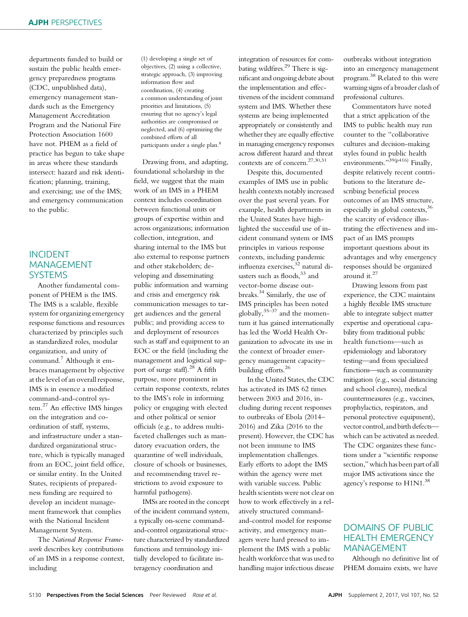departments funded to build or sustain the public health emergency preparedness programs (CDC, unpublished data), emergency management standards such as the Emergency Management Accreditation Program and the National Fire Protection Association 1600 have not. PHEM as a field of practice has begun to take shape in areas where these standards intersect: hazard and risk identification; planning, training, and exercising; use of the IMS; and emergency communication to the public.

## INCIDENT MANAGEMENT **SYSTEMS**

Another fundamental component of PHEM is the IMS. The IMS is a scalable, flexible system for organizing emergency response functions and resources characterized by principles such as standardized roles, modular organization, and unity of command.<sup>7</sup> Although it embraces management by objective at the level of an overall response, IMS is in essence a modified command-and-control system.<sup>27</sup> An effective IMS hinges on the integration and coordination of staff, systems, and infrastructure under a standardized organizational structure, which is typically managed from an EOC, joint field office, or similar entity. In the United States, recipients of preparedness funding are required to develop an incident management framework that complies with the National Incident Management System.

The National Response Framework describes key contributions of an IMS in a response context, including

(1) developing a single set of objectives, (2) using a collective, strategic approach, (3) improving information flow and coordination, (4) creating a common understanding of joint priorities and limitations, (5) ensuring that no agency's legal authorities are compromised or neglected, and (6) optimizing the combined efforts of all participants under a single plan.<sup>8</sup>

Drawing from, and adapting, foundational scholarship in the field, we suggest that the main work of an IMS in a PHEM context includes coordination between functional units or groups of expertise within and across organizations; information collection, integration, and sharing internal to the IMS but also external to response partners and other stakeholders; developing and disseminating public information and warning and crisis and emergency risk communication messages to target audiences and the general public; and providing access to and deployment of resources such as staff and equipment to an EOC or the field (including the management and logistical support of surge staff).<sup>28</sup> A fifth purpose, more prominent in certain response contexts, relates to the IMS's role in informing policy or engaging with elected and other political or senior officials (e.g., to address multifaceted challenges such as mandatory evacuation orders, the quarantine of well individuals, closure of schools or businesses, and recommending travel restrictions to avoid exposure to harmful pathogens).

IMSs are rooted in the concept of the incident command system, a typically on-scene commandand-control organizational structure characterized by standardized functions and terminology initially developed to facilitate interagency coordination and

integration of resources for combating wildfires.<sup>29</sup> There is significant and ongoing debate about the implementation and effectiveness of the incident command system and IMS. Whether these systems are being implemented appropriately or consistently and whether they are equally effective in managing emergency responses across different hazard and threat contexts are of concern.27,30,31

Despite this, documented examples of IMS use in public health contexts notably increased over the past several years. For example, health departments in the United States have highlighted the successful use of incident command system or IMS principles in various response contexts, including pandemic influenza exercises,<sup>32</sup> natural disasters such as floods,<sup>33</sup> and vector-borne disease outbreaks.<sup>34</sup> Similarly, the use of IMS principles has been noted globally, $35-37$  and the momentum it has gained internationally has led the World Health Organization to advocate its use in the context of broader emergency management capacity– building efforts.<sup>26</sup>

In the United States, the CDC has activated its IMS 62 times between 2003 and 2016, including during recent responses to outbreaks of Ebola (2014– 2016) and Zika (2016 to the present). However, the CDC has not been immune to IMS implementation challenges. Early efforts to adopt the IMS within the agency were met with variable success. Public health scientists were not clear on how to work effectively in a relatively structured commandand-control model for response activity, and emergency managers were hard pressed to implement the IMS with a public health workforce that was used to handling major infectious disease

outbreaks without integration into an emergency management program.<sup>38</sup> Related to this were warning signs of a broader clash of professional cultures.

Commentators have noted that a strict application of the IMS to public health may run counter to the "collaborative cultures and decision-making styles found in public health environments."<sup>39(p416)</sup> Finally, despite relatively recent contributions to the literature describing beneficial process outcomes of an IMS structure, especially in global contexts,<sup>36</sup> the scarcity of evidence illustrating the effectiveness and impact of an IMS prompts important questions about its advantages and why emergency responses should be organized around it. $27$ 

Drawing lessons from past experience, the CDC maintains a highly flexible IMS structure able to integrate subject matter expertise and operational capability from traditional public health functions—such as epidemiology and laboratory testing—and from specialized functions—such as community mitigation (e.g., social distancing and school closures), medical countermeasures (e.g., vaccines, prophylactics, respirators, and personal protective equipment), vector control, and birth defects which can be activated as needed. The CDC organizes these functions under a "scientific response section,"which has been part of all major IMS activations since the agency's response to  $H1N1.<sup>38</sup>$ 

# DOMAINS OF PUBLIC HEALTH EMERGENCY MANAGEMENT

Although no definitive list of PHEM domains exists, we have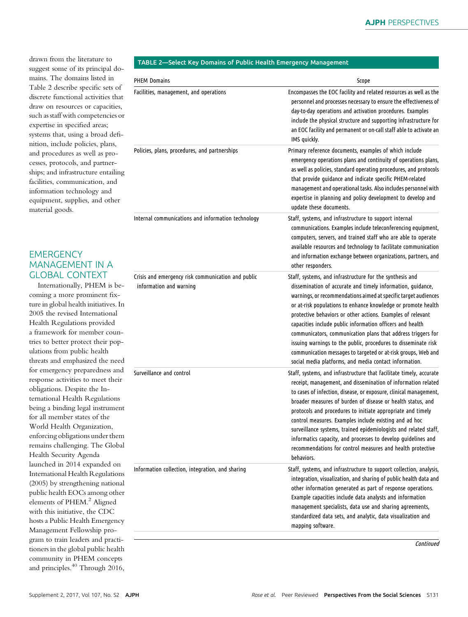drawn from the literature to suggest some of its principal domains. The domains listed in Table 2 describe specific sets of discrete functional activities that draw on resources or capacities, such as staff with competencies or expertise in specified areas; systems that, using a broad definition, include policies, plans, and procedures as well as processes, protocols, and partnerships; and infrastructure entailing facilities, communication, and information technology and equipment, supplies, and other material goods.

# **EMERGENCY** MANAGEMENT IN A GLOBAL CONTEXT

Internationally, PHEM is becoming a more prominent fixture in global health initiatives. In 2005 the revised International Health Regulations provided a framework for member countries to better protect their populations from public health threats and emphasized the need for emergency preparedness and response activities to meet their obligations. Despite the International Health Regulations being a binding legal instrument for all member states of the World Health Organization, enforcing obligations under them remains challenging. The Global Health Security Agenda launched in 2014 expanded on International Health Regulations (2005) by strengthening national public health EOCs among other elements of PHEM.<sup>2</sup> Aligned with this initiative, the CDC hosts a Public Health Emergency Management Fellowship program to train leaders and practitioners in the global public health community in PHEM concepts and principles.<sup>40</sup> Through 2016,

## TABLE 2—Select Key Domains of Public Health Emergency Management

| <b>PHEM Domains</b>                                                           | Scope                                                                                                                                                                                                                                                                                                                                                                                                                                                                                                                                                                                                                                                |
|-------------------------------------------------------------------------------|------------------------------------------------------------------------------------------------------------------------------------------------------------------------------------------------------------------------------------------------------------------------------------------------------------------------------------------------------------------------------------------------------------------------------------------------------------------------------------------------------------------------------------------------------------------------------------------------------------------------------------------------------|
| Facilities, management, and operations                                        | Encompasses the EOC facility and related resources as well as the<br>personnel and processes necessary to ensure the effectiveness of<br>day-to-day operations and activation procedures. Examples<br>include the physical structure and supporting infrastructure for<br>an EOC facility and permanent or on-call staff able to activate an<br>IMS quickly.                                                                                                                                                                                                                                                                                         |
| Policies, plans, procedures, and partnerships                                 | Primary reference documents, examples of which include<br>emergency operations plans and continuity of operations plans,<br>as well as policies, standard operating procedures, and protocols<br>that provide guidance and indicate specific PHEM-related<br>management and operational tasks. Also includes personnel with<br>expertise in planning and policy development to develop and<br>update these documents.                                                                                                                                                                                                                                |
| Internal communications and information technology                            | Staff, systems, and infrastructure to support internal<br>communications. Examples include teleconferencing equipment,<br>computers, servers, and trained staff who are able to operate<br>available resources and technology to facilitate communication<br>and information exchange between organizations, partners, and<br>other responders.                                                                                                                                                                                                                                                                                                      |
| Crisis and emergency risk communication and public<br>information and warning | Staff, systems, and infrastructure for the synthesis and<br>dissemination of accurate and timely information, guidance,<br>warnings, or recommendations aimed at specific target audiences<br>or at-risk populations to enhance knowledge or promote health<br>protective behaviors or other actions. Examples of relevant<br>capacities include public information officers and health<br>communicators, communication plans that address triggers for<br>issuing warnings to the public, procedures to disseminate risk<br>communication messages to targeted or at-risk groups, Web and<br>social media platforms, and media contact information. |
| Surveillance and control                                                      | Staff, systems, and infrastructure that facilitate timely, accurate<br>receipt, management, and dissemination of information related<br>to cases of infection, disease, or exposure, clinical management,<br>broader measures of burden of disease or health status, and<br>protocols and procedures to initiate appropriate and timely<br>control measures. Examples include existing and ad hoc<br>surveillance systems, trained epidemiologists and related staff,<br>informatics capacity, and processes to develop guidelines and<br>recommendations for control measures and health protective<br>behaviors.                                   |
| Information collection, integration, and sharing                              | Staff, systems, and infrastructure to support collection, analysis,<br>integration, visualization, and sharing of public health data and<br>other information generated as part of response operations.<br>Example capacities include data analysts and information<br>management specialists, data use and sharing agreements,<br>standardized data sets, and analytic, data visualization and<br>mapping software.                                                                                                                                                                                                                                 |
|                                                                               | Continued                                                                                                                                                                                                                                                                                                                                                                                                                                                                                                                                                                                                                                            |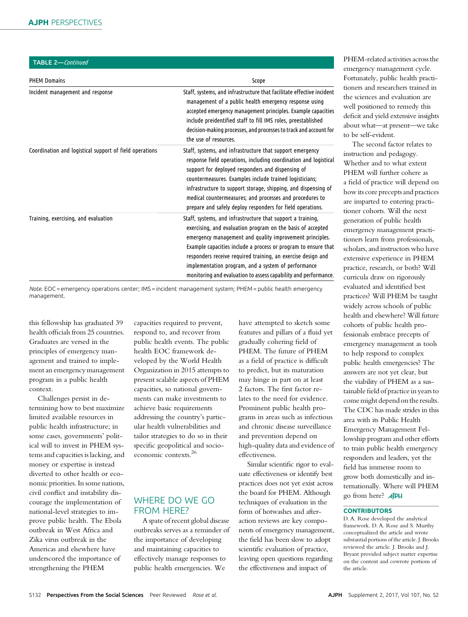| TABLE 2-Continued                                       |                                                                                                                                                                                                                                                                                                                                                                                                                                                    |
|---------------------------------------------------------|----------------------------------------------------------------------------------------------------------------------------------------------------------------------------------------------------------------------------------------------------------------------------------------------------------------------------------------------------------------------------------------------------------------------------------------------------|
| <b>PHEM Domains</b>                                     | Scope                                                                                                                                                                                                                                                                                                                                                                                                                                              |
| Incident management and response                        | Staff, systems, and infrastructure that facilitate effective incident<br>management of a public health emergency response using<br>accepted emergency management principles. Example capacities<br>include preidentified staff to fill IMS roles, preestablished<br>decision-making processes, and processes to track and account for<br>the use of resources.                                                                                     |
| Coordination and logistical support of field operations | Staff, systems, and infrastructure that support emergency<br>response field operations, including coordination and logistical<br>support for deployed responders and dispensing of<br>countermeasures. Examples include trained logisticians;<br>infrastructure to support storage, shipping, and dispensing of<br>medical countermeasures; and processes and procedures to<br>prepare and safely deploy responders for field operations.          |
| Training, exercising, and evaluation                    | Staff, systems, and infrastructure that support a training,<br>exercising, and evaluation program on the basis of accepted<br>emergency management and quality improvement principles.<br>Example capacities include a process or program to ensure that<br>responders receive required training, an exercise design and<br>implementation program, and a system of performance<br>monitoring and evaluation to assess capability and performance. |

Note. EOC = emergency operations center; IMS = incident management system; PHEM = public health emergency management.

this fellowship has graduated 39 health officials from 25 countries. Graduates are versed in the principles of emergency management and trained to implement an emergency management program in a public health context.

Challenges persist in determining how to best maximize limited available resources in public health infrastructure; in some cases, governments' political will to invest in PHEM systems and capacities is lacking, and money or expertise is instead diverted to other health or economic priorities. In some nations, civil conflict and instability discourage the implementation of national-level strategies to improve public health. The Ebola outbreak in West Africa and Zika virus outbreak in the Americas and elsewhere have underscored the importance of strengthening the PHEM

capacities required to prevent, respond to, and recover from public health events. The public health EOC framework developed by the World Health Organization in 2015 attempts to present scalable aspects of PHEM capacities, so national governments can make investments to achieve basic requirements addressing the country's particular health vulnerabilities and tailor strategies to do so in their specific geopolitical and socioeconomic contexts.<sup>26</sup>

## WHERE DO WE GO FROM HERE?

A spate of recent global disease outbreaks serves as a reminder of the importance of developing and maintaining capacities to effectively manage responses to public health emergencies. We

have attempted to sketch some features and pillars of a fluid yet gradually cohering field of PHEM. The future of PHEM as a field of practice is difficult to predict, but its maturation may hinge in part on at least 2 factors. The first factor relates to the need for evidence. Prominent public health programs in areas such as infectious and chronic disease surveillance and prevention depend on high-quality data and evidence of effectiveness.

Similar scientific rigor to evaluate effectiveness or identify best practices does not yet exist across the board for PHEM. Although techniques of evaluation in the form of hotwashes and afteraction reviews are key components of emergency management, the field has been slow to adopt scientific evaluation of practice, leaving open questions regarding the effectiveness and impact of

PHEM-related activities across the emergency management cycle. Fortunately, public health practitioners and researchers trained in the sciences and evaluation are well positioned to remedy this deficit and yield extensive insights about what—at present—we take to be self-evident.

The second factor relates to instruction and pedagogy. Whether and to what extent PHEM will further cohere as a field of practice will depend on how its core precepts and practices are imparted to entering practitioner cohorts. Will the next generation of public health emergency management practitioners learn from professionals, scholars, and instructors who have extensive experience in PHEM practice, research, or both? Will curricula draw on rigorously evaluated and identified best practices? Will PHEM be taught widely across schools of public health and elsewhere? Will future cohorts of public health professionals embrace precepts of emergency management as tools to help respond to complex public health emergencies? The answers are not yet clear, but the viability of PHEM as a sustainable field of practice in years to come might depend on the results. The CDC has made strides in this area with its Public Health Emergency Management Fellowship program and other efforts to train public health emergency responders and leaders, yet the field has immense room to grow both domestically and internationally. Where will PHEM go from here?

## **CONTRIBUTORS**

D. A. Rose developed the analytical framework. D. A. Rose and S. Murthy conceptualized the article and wrote substantial portions of the article. J. Brooks reviewed the article. J. Brooks and J. Bryant provided subject matter expertise on the content and cowrote portions of the article.